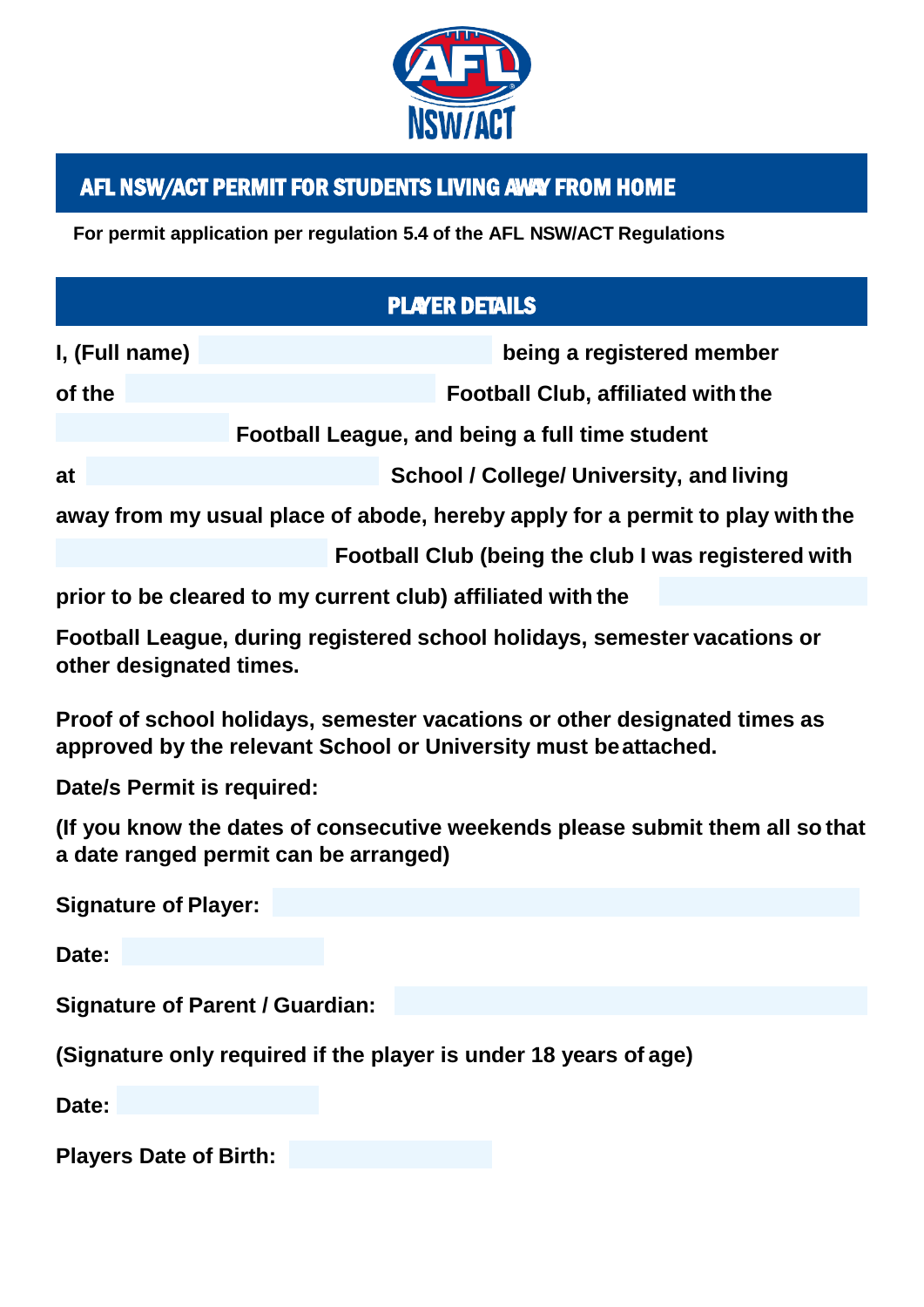

## AFL NSW/ACT PERMIT FOR STUDENTS LIVING AWAY FROM HOME

**For permit application per regulation 5.4 of the AFL NSW/ACT Regulations**

## PLAYER DETAILS

| I, (Full name)                                                                |  |                                           |  | being a registered member |  |  |  |
|-------------------------------------------------------------------------------|--|-------------------------------------------|--|---------------------------|--|--|--|
| of the                                                                        |  | <b>Football Club, affiliated with the</b> |  |                           |  |  |  |
| Football League, and being a full time student                                |  |                                           |  |                           |  |  |  |
| at                                                                            |  | School / College/ University, and living  |  |                           |  |  |  |
| away from my usual place of abode, hereby apply for a permit to play with the |  |                                           |  |                           |  |  |  |

**Football Club (being the club I was registered with** 

**prior to be cleared to my current club) affiliated with the**

**Football League, during registered school holidays, semester vacations or other designated times.**

**Proof of school holidays, semester vacations or other designated times as approved by the relevant School or University must beattached.**

**Date/s Permit is required:**

**(If you know the dates of consecutive weekends please submit them all so that a date ranged permit can be arranged)**

**Signature of Player:** 

**Date:**

**Signature of Parent / Guardian:**

**(Signature only required if the player is under 18 years of age)**

**Date:**

**Players Date of Birth:**